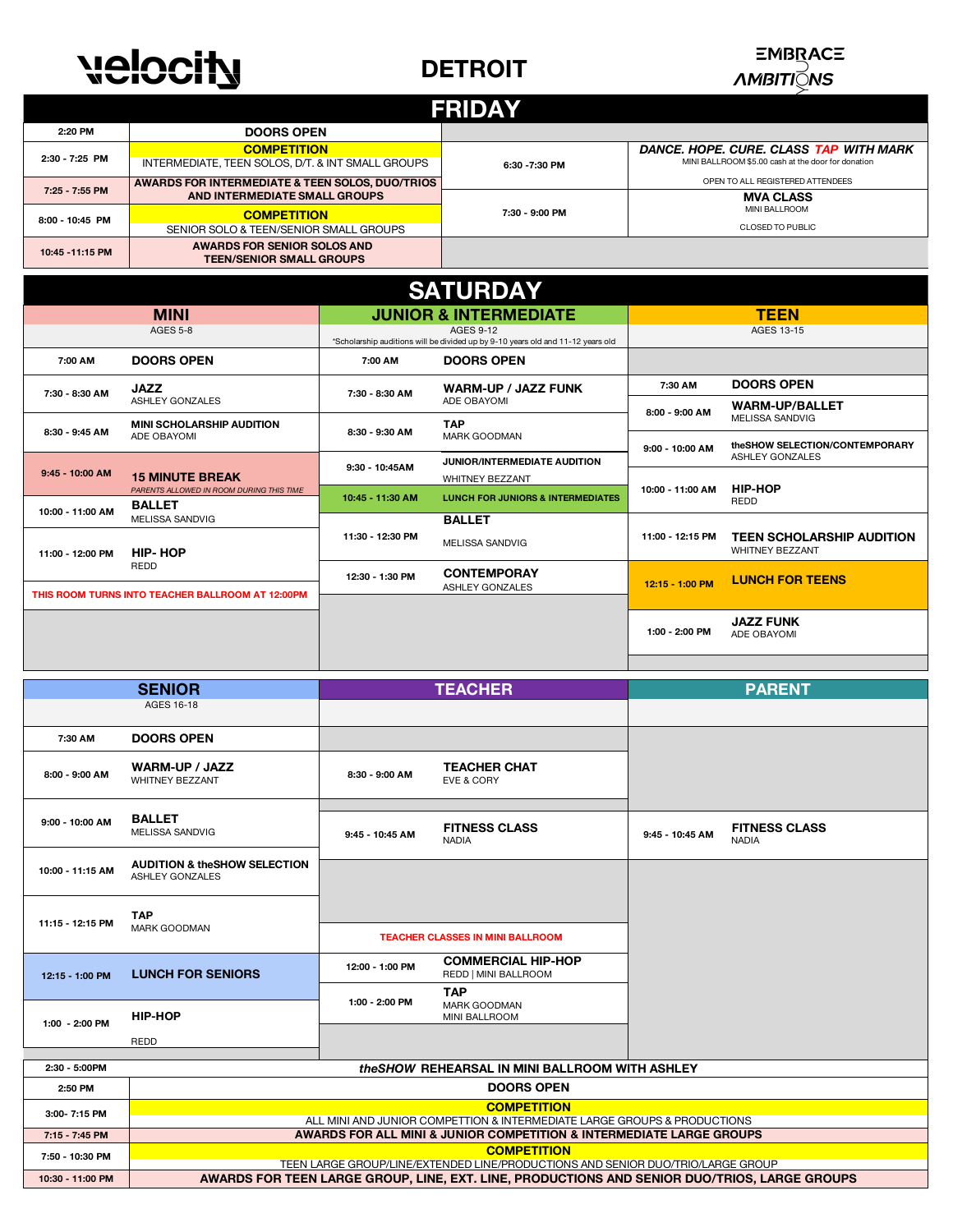## **velocity**

#### **DETROIT**



| <b>FRIDAY</b>    |                                                                         |                |                                                                                              |  |  |
|------------------|-------------------------------------------------------------------------|----------------|----------------------------------------------------------------------------------------------|--|--|
| 2:20 PM          | <b>DOORS OPEN</b>                                                       |                |                                                                                              |  |  |
| 2:30 - 7:25 PM   | <b>COMPETITION</b><br>INTERMEDIATE, TEEN SOLOS, D/T. & INT SMALL GROUPS | 6:30 -7:30 PM  | DANCE, HOPE, CURE, CLASS TAP WITH MARK<br>MINI BALLROOM \$5.00 cash at the door for donation |  |  |
| 7:25 - 7:55 PM   | AWARDS FOR INTERMEDIATE & TEEN SOLOS, DUO/TRIOS                         |                | OPEN TO ALL REGISTERED ATTENDEES                                                             |  |  |
|                  | AND INTERMEDIATE SMALL GROUPS                                           |                | <b>MVA CLASS</b>                                                                             |  |  |
| 8:00 - 10:45 PM  | <b>COMPETITION</b>                                                      | 7:30 - 9:00 PM | <b>MINI BALLROOM</b>                                                                         |  |  |
|                  | SENIOR SOLO & TEEN/SENIOR SMALL GROUPS                                  |                | <b>CLOSED TO PUBLIC</b>                                                                      |  |  |
| 10:45 - 11:15 PM | AWARDS FOR SENIOR SOLOS AND<br><b>TEEN/SENIOR SMALL GROUPS</b>          |                |                                                                                              |  |  |

| <b>SATURDAY</b>                                  |                                                           |                                                                                                     |                                              |                           |                                                            |  |
|--------------------------------------------------|-----------------------------------------------------------|-----------------------------------------------------------------------------------------------------|----------------------------------------------|---------------------------|------------------------------------------------------------|--|
| <b>MINI</b>                                      |                                                           | <b>JUNIOR &amp; INTERMEDIATE</b>                                                                    |                                              | <b>TEEN</b>               |                                                            |  |
| AGES 5-8                                         |                                                           | <b>AGES 9-12</b><br>*Scholarship auditions will be divided up by 9-10 years old and 11-12 years old |                                              |                           | AGES 13-15                                                 |  |
| 7:00 AM                                          | <b>DOORS OPEN</b>                                         | 7:00 AM                                                                                             | <b>DOORS OPEN</b>                            |                           |                                                            |  |
| 7:30 - 8:30 AM                                   | <b>JAZZ</b>                                               | 7:30 - 8:30 AM                                                                                      | <b>WARM-UP / JAZZ FUNK</b>                   | 7:30 AM<br>8:00 - 9:00 AM | <b>DOORS OPEN</b>                                          |  |
|                                                  | <b>ASHLEY GONZALES</b>                                    |                                                                                                     | ADE OBAYOMI                                  |                           | <b>WARM-UP/BALLET</b><br><b>MELISSA SANDVIG</b>            |  |
| 8:30 - 9:45 AM                                   | <b>MINI SCHOLARSHIP AUDITION</b><br>ADE OBAYOMI           | 8:30 - 9:30 AM                                                                                      | <b>TAP</b><br><b>MARK GOODMAN</b>            |                           | the SHOW SELECTION/CONTEMPORARY                            |  |
| 9:45 - 10:00 AM                                  | <b>15 MINUTE BREAK</b>                                    | $9:30 - 10:45AM$                                                                                    | <b>JUNIOR/INTERMEDIATE AUDITION</b>          | 9:00 - 10:00 AM           | ASHLEY GONZALES                                            |  |
|                                                  |                                                           |                                                                                                     | <b>WHITNEY BEZZANT</b>                       |                           | <b>HIP-HOP</b>                                             |  |
|                                                  | PARENTS ALLOWED IN ROOM DURING THIS TIME<br><b>BALLET</b> | 10:45 - 11:30 AM                                                                                    | <b>LUNCH FOR JUNIORS &amp; INTERMEDIATES</b> | 10:00 - 11:00 AM          | <b>REDD</b>                                                |  |
| 10:00 - 11:00 AM                                 | <b>MELISSA SANDVIG</b>                                    |                                                                                                     | <b>BALLET</b>                                |                           |                                                            |  |
| 11:00 - 12:00 PM                                 | HIP-HOP<br><b>REDD</b>                                    | 11:30 - 12:30 PM                                                                                    | <b>MELISSA SANDVIG</b>                       | 11:00 - 12:15 PM          | <b>TEEN SCHOLARSHIP AUDITION</b><br><b>WHITNEY BEZZANT</b> |  |
|                                                  |                                                           | 12:30 - 1:30 PM                                                                                     | <b>CONTEMPORAY</b><br><b>ASHLEY GONZALES</b> | 12:15 - 1:00 PM           | <b>LUNCH FOR TEENS</b>                                     |  |
| THIS ROOM TURNS INTO TEACHER BALLROOM AT 12:00PM |                                                           |                                                                                                     |                                              |                           |                                                            |  |
|                                                  |                                                           |                                                                                                     |                                              | 1:00 - 2:00 PM            | <b>JAZZ FUNK</b><br>ADE OBAYOMI                            |  |
|                                                  |                                                           |                                                                                                     |                                              |                           |                                                            |  |

| <b>SENIOR</b>                                                     |                                                                                                                                                  | <b>TEACHER</b>  |                                                   | <b>PARENT</b>   |                                      |  |
|-------------------------------------------------------------------|--------------------------------------------------------------------------------------------------------------------------------------------------|-----------------|---------------------------------------------------|-----------------|--------------------------------------|--|
|                                                                   | AGES 16-18                                                                                                                                       |                 |                                                   |                 |                                      |  |
| 7:30 AM                                                           | <b>DOORS OPEN</b>                                                                                                                                |                 |                                                   |                 |                                      |  |
| 8:00 - 9:00 AM                                                    | <b>WARM-UP / JAZZ</b><br><b>WHITNEY BEZZANT</b>                                                                                                  | 8:30 - 9:00 AM  | <b>TEACHER CHAT</b><br><b>EVE &amp; CORY</b>      |                 |                                      |  |
| 9:00 - 10:00 AM                                                   | <b>BALLET</b><br>MELISSA SANDVIG                                                                                                                 | 9:45 - 10:45 AM | <b>FITNESS CLASS</b><br><b>NADIA</b>              | 9:45 - 10:45 AM | <b>FITNESS CLASS</b><br><b>NADIA</b> |  |
| 10:00 - 11:15 AM                                                  | <b>AUDITION &amp; theSHOW SELECTION</b><br><b>ASHLEY GONZALES</b>                                                                                |                 |                                                   |                 |                                      |  |
|                                                                   | <b>TAP</b>                                                                                                                                       |                 |                                                   |                 |                                      |  |
| 11:15 - 12:15 PM                                                  | MARK GOODMAN                                                                                                                                     |                 | <b>TEACHER CLASSES IN MINI BALLROOM</b>           |                 |                                      |  |
| 12:15 - 1:00 PM                                                   | <b>LUNCH FOR SENIORS</b>                                                                                                                         | 12:00 - 1:00 PM | <b>COMMERCIAL HIP-HOP</b><br>REDD   MINI BALLROOM |                 |                                      |  |
|                                                                   |                                                                                                                                                  | 1:00 - 2:00 PM  | <b>TAP</b><br><b>MARK GOODMAN</b>                 |                 |                                      |  |
| 1:00 - 2:00 PM                                                    | <b>HIP-HOP</b>                                                                                                                                   |                 | MINI BALLROOM                                     |                 |                                      |  |
|                                                                   | <b>REDD</b>                                                                                                                                      |                 |                                                   |                 |                                      |  |
| the SHOW REHEARSAL IN MINI BALL ROOM WITH ASHLEY<br>2:30 - 5:00PM |                                                                                                                                                  |                 |                                                   |                 |                                      |  |
| 2:50 PM                                                           | <b>DOORS OPEN</b>                                                                                                                                |                 |                                                   |                 |                                      |  |
| 3:00-7:15 PM                                                      | <b>COMPETITION</b>                                                                                                                               |                 |                                                   |                 |                                      |  |
| 7:15 - 7:45 PM                                                    | ALL MINI AND JUNIOR COMPETTION & INTERMEDIATE LARGE GROUPS & PRODUCTIONS<br>AWARDS FOR ALL MINI & JUNIOR COMPETITION & INTERMEDIATE LARGE GROUPS |                 |                                                   |                 |                                      |  |
|                                                                   | <b>COMPETITION</b>                                                                                                                               |                 |                                                   |                 |                                      |  |
| 7:50 - 10:30 PM                                                   | TEEN LARGE GROUP/LINE/EXTENDED LINE/PRODUCTIONS AND SENIOR DUO/TRIO/LARGE GROUP                                                                  |                 |                                                   |                 |                                      |  |

#### **10:30 - 11:00 PM AWARDS FOR TEEN LARGE GROUP, LINE, EXT. LINE, PRODUCTIONS AND SENIOR DUO/TRIOS, LARGE GROUPS**